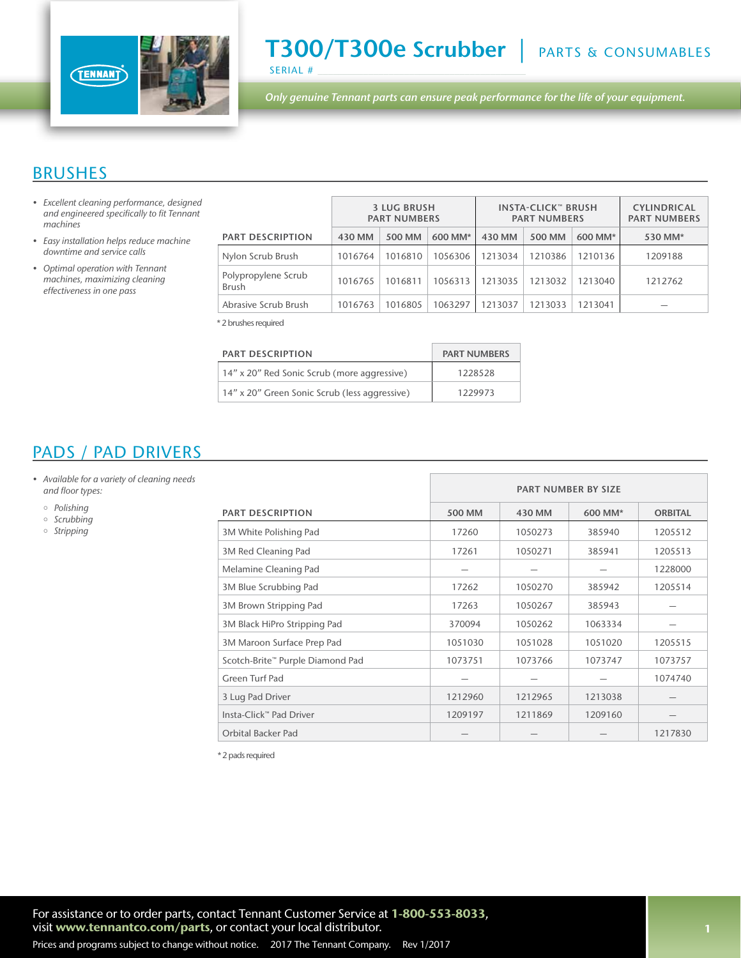

T300/T300e Scrubber | PARTS & CONSUMABLES SERIAL #

*Only genuine Tennant parts can ensure peak performance for the life of your equipment.*

#### BRUSHES

- *• Excellent cleaning performance, designed*  and engineered specifically to fit Tennant *machines*
- Easy installation helps reduce machine *downtime and service calls*
- Optimal operation with Tennant *machines, maximizing cleaning*  effectiveness in one pass

|                                     | <b>3 LUG BRUSH</b><br><b>PART NUMBERS</b> |         | <b>INSTA-CLICK™ BRUSH</b><br><b>PART NUMBERS</b> |         |         | <b>CYLINDRICAL</b><br><b>PART NUMBERS</b> |         |
|-------------------------------------|-------------------------------------------|---------|--------------------------------------------------|---------|---------|-------------------------------------------|---------|
| <b>PART DESCRIPTION</b>             | 430 MM                                    | 500 MM  | 600 MM*                                          | 430 MM  | 500 MM  | 600 MM*                                   | 530 MM* |
| Nylon Scrub Brush                   | 1016764                                   | 1016810 | 1056306                                          | 1213034 | 1210386 | 1210136                                   | 1209188 |
| Polypropylene Scrub<br><b>Brush</b> | 1016765                                   | 1016811 | 1056313                                          | 1213035 | 1213032 | 1213040                                   | 1212762 |
| Abrasive Scrub Brush                | 1016763                                   | 1016805 | 1063297                                          | 1213037 | 1213033 | 1213041                                   |         |

\* 2 brushes required

| <b>PART DESCRIPTION</b>                       | <b>PART NUMBERS</b> |
|-----------------------------------------------|---------------------|
| 14" x 20" Red Sonic Scrub (more aggressive)   | 1228528             |
| 14" x 20" Green Sonic Scrub (less aggressive) | 1229973             |

## PADS / PAD DRIVERS

- Available for a variety of cleaning needs and floor types:
	- *Polishing*
	- o Scrubbing
	- *Stripping*

|                                  |         | <b>PART NUMBER BY SIZE</b> |         |                |
|----------------------------------|---------|----------------------------|---------|----------------|
| <b>PART DESCRIPTION</b>          | 500 MM  | 430 MM                     | 600 MM* | <b>ORBITAL</b> |
| 3M White Polishing Pad           | 17260   | 1050273                    | 385940  | 1205512        |
| 3M Red Cleaning Pad              | 17261   | 1050271                    | 385941  | 1205513        |
| Melamine Cleaning Pad            |         |                            |         | 1228000        |
| 3M Blue Scrubbing Pad            | 17262   | 1050270                    | 385942  | 1205514        |
| 3M Brown Stripping Pad           | 17263   | 1050267                    | 385943  |                |
| 3M Black HiPro Stripping Pad     | 370094  | 1050262                    | 1063334 |                |
| 3M Maroon Surface Prep Pad       | 1051030 | 1051028                    | 1051020 | 1205515        |
| Scotch-Brite™ Purple Diamond Pad | 1073751 | 1073766                    | 1073747 | 1073757        |
| Green Turf Pad                   |         |                            |         | 1074740        |
| 3 Lug Pad Driver                 | 1212960 | 1212965                    | 1213038 |                |
| Insta-Click™ Pad Driver          | 1209197 | 1211869                    | 1209160 |                |
| <b>Orbital Backer Pad</b>        |         |                            |         | 1217830        |

\* 2 pads required

For assistance or to order parts, contact Tennant Customer Service at 1-800-553-8033, visit www.tennantco.com/parts, or contact your local distributor.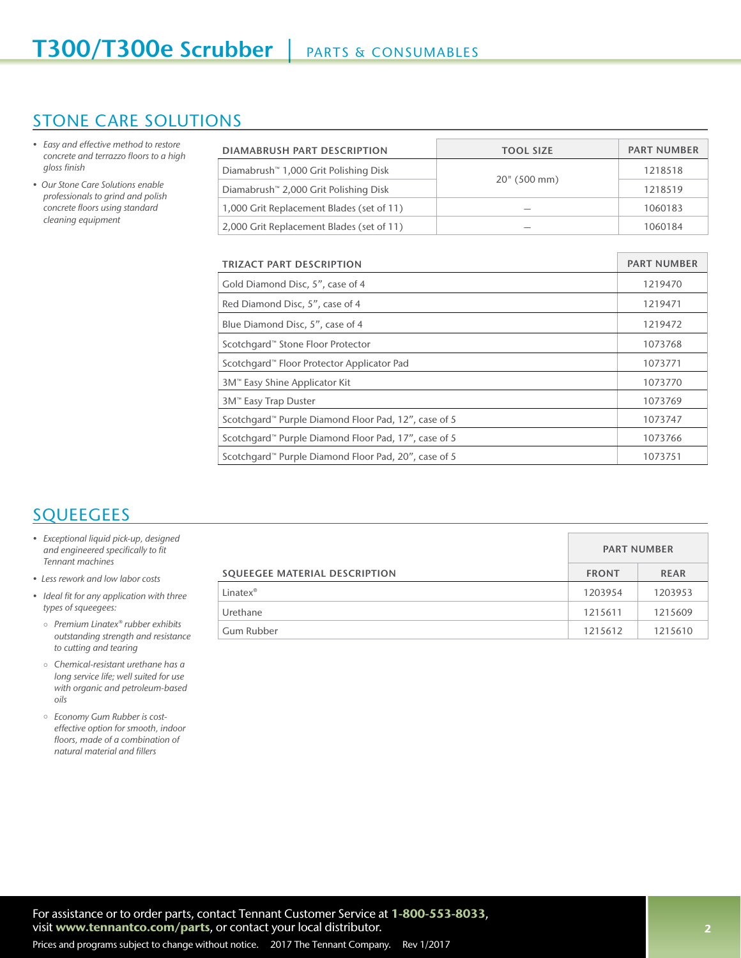### STONE CARE SOLUTIONS

- Easy and effective method to restore concrete and terrazzo floors to a high gloss finish
- Our Stone Care Solutions enable *professionals to grind and polish*  concrete floors using standard cleaning equipment

| <b>DIAMABRUSH PART DESCRIPTION</b>                               | <b>TOOL SIZE</b>   | <b>PART NUMBER</b> |
|------------------------------------------------------------------|--------------------|--------------------|
| Diamabrush™ 1,000 Grit Polishing Disk                            |                    |                    |
| Diamabrush <sup>™</sup> 2,000 Grit Polishing Disk                | 20" (500 mm)       | 1218519            |
| 1,000 Grit Replacement Blades (set of 11)                        |                    | 1060183            |
| 2,000 Grit Replacement Blades (set of 11)                        |                    | 1060184            |
|                                                                  |                    |                    |
| TRIZACT PART DESCRIPTION                                         | <b>PART NUMBER</b> |                    |
| Gold Diamond Disc, 5", case of 4                                 | 1219470            |                    |
| Red Diamond Disc, 5", case of 4                                  | 1219471            |                    |
| Blue Diamond Disc, 5", case of 4                                 | 1219472            |                    |
| Scotchgard™ Stone Floor Protector                                | 1073768            |                    |
| Scotchgard™ Floor Protector Applicator Pad                       | 1073771            |                    |
| 3M™ Easy Shine Applicator Kit                                    | 1073770            |                    |
| 3M™ Easy Trap Duster                                             | 1073769            |                    |
| Scotchgard™ Purple Diamond Floor Pad, 12", case of 5             | 1073747            |                    |
| Scotchgard™ Purple Diamond Floor Pad, 17", case of 5             | 1073766            |                    |
| Scotchgard <sup>™</sup> Purple Diamond Floor Pad, 20", case of 5 | 1073751            |                    |

# **SQUEEGEES**

- Exceptional liquid pick-up, designed and engineered specifically to fit Tennant machines
- Less rework and low labor costs
- Ideal fit for any application with three types of squeegees:
	- Premium Linatex® rubber exhibits outstanding strength and resistance to cutting and tearing
	- $\circ$  Chemical-resistant urethane has a long service life; well suited for use with organic and petroleum-based *oils*
	- Economy Gum Rubber is costeffective option for smooth, indoor floors, made of a combination of natural material and fillers

|                               | <b>PART NUMBER</b> |             |
|-------------------------------|--------------------|-------------|
| SQUEEGEE MATERIAL DESCRIPTION | <b>FRONT</b>       | <b>REAR</b> |
| Linatex®                      | 1203954            | 1203953     |
| Urethane                      | 1215611            | 1215609     |
| Gum Rubber                    | 1215612            | 1215610     |

For assistance or to order parts, contact Tennant Customer Service at 1-800-553-8033, visit www.tennantco.com/parts, or contact your local distributor.